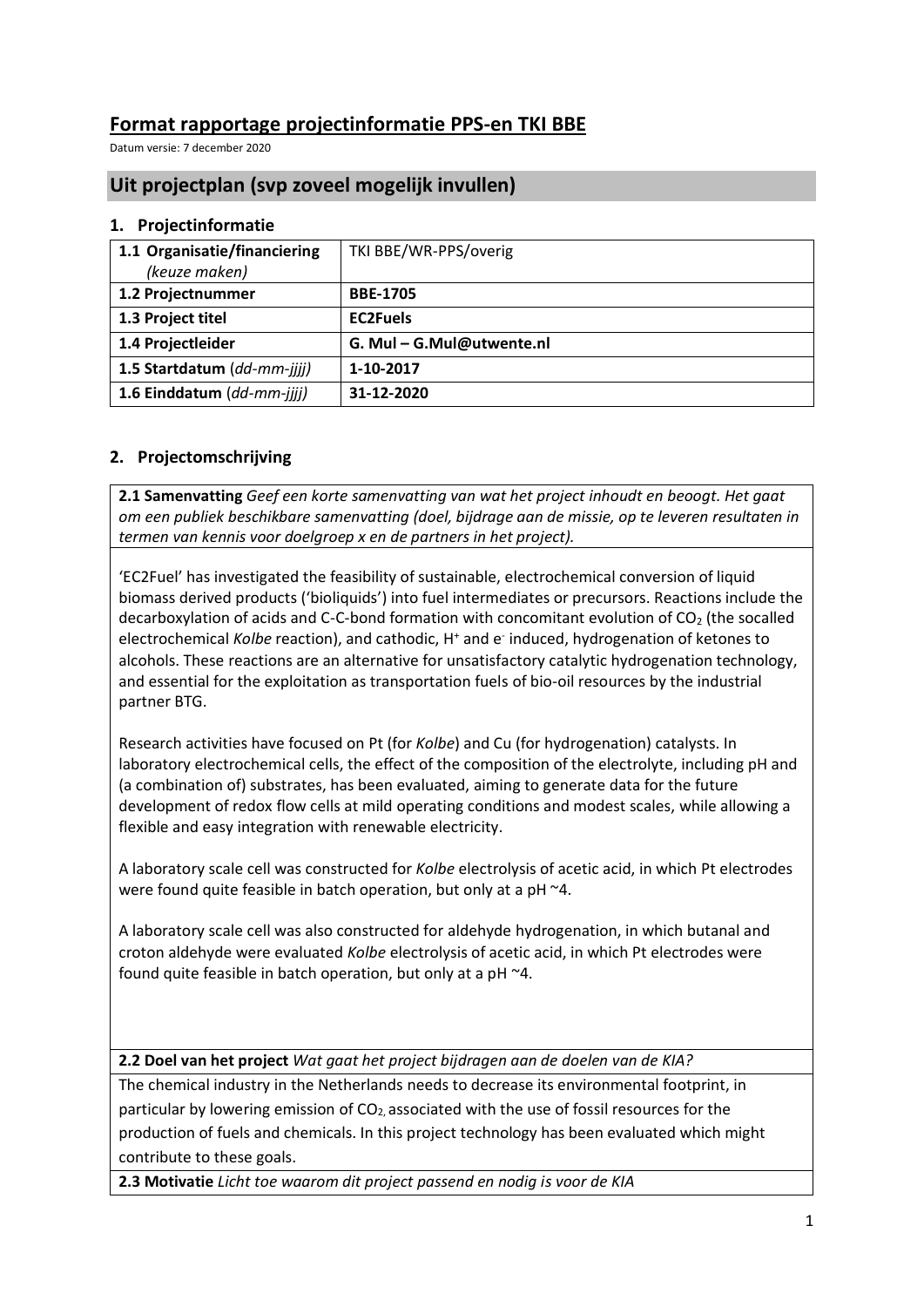# **Format rapportage projectinformatie PPS-en TKI BBE**

Datum versie: 7 december 2020

## **Uit projectplan (svp zoveel mogelijk invullen)**

#### **1. Projectinformatie**

| 1.1 Organisatie/financiering | TKI BBE/WR-PPS/overig   |
|------------------------------|-------------------------|
| (keuze maken)                |                         |
| 1.2 Projectnummer            | <b>BBE-1705</b>         |
| 1.3 Project titel            | <b>EC2Fuels</b>         |
| 1.4 Projectleider            | G. Mul-G.Mul@utwente.nl |
| 1.5 Startdatum (dd-mm-jijj)  | 1-10-2017               |
| 1.6 Einddatum (dd-mm-jijj)   | 31-12-2020              |

#### **2. Projectomschrijving**

**2.1 Samenvatting** *Geef een korte samenvatting van wat het project inhoudt en beoogt. Het gaat om een publiek beschikbare samenvatting (doel, bijdrage aan de missie, op te leveren resultaten in termen van kennis voor doelgroep x en de partners in het project).*

'EC2Fuel' has investigated the feasibility of sustainable, electrochemical conversion of liquid biomass derived products ('bioliquids') into fuel intermediates or precursors. Reactions include the decarboxylation of acids and C-C-bond formation with concomitant evolution of  $CO<sub>2</sub>$  (the socalled electrochemical Kolbe reaction), and cathodic, H<sup>+</sup> and e<sup>-</sup> induced, hydrogenation of ketones to alcohols. These reactions are an alternative for unsatisfactory catalytic hydrogenation technology, and essential for the exploitation as transportation fuels of bio-oil resources by the industrial partner BTG.

Research activities have focused on Pt (for *Kolbe*) and Cu (for hydrogenation) catalysts. In laboratory electrochemical cells, the effect of the composition of the electrolyte, including pH and (a combination of) substrates, has been evaluated, aiming to generate data for the future development of redox flow cells at mild operating conditions and modest scales, while allowing a flexible and easy integration with renewable electricity.

A laboratory scale cell was constructed for *Kolbe* electrolysis of acetic acid, in which Pt electrodes were found quite feasible in batch operation, but only at a pH ~4.

A laboratory scale cell was also constructed for aldehyde hydrogenation, in which butanal and croton aldehyde were evaluated *Kolbe* electrolysis of acetic acid, in which Pt electrodes were found quite feasible in batch operation, but only at a pH ~4.

**2.2 Doel van het project** *Wat gaat het project bijdragen aan de doelen van de KIA?*

The chemical industry in the Netherlands needs to decrease its environmental footprint, in particular by lowering emission of  $CO<sub>2</sub>$  associated with the use of fossil resources for the production of fuels and chemicals. In this project technology has been evaluated which might contribute to these goals.

**2.3 Motivatie** *Licht toe waarom dit project passend en nodig is voor de KIA*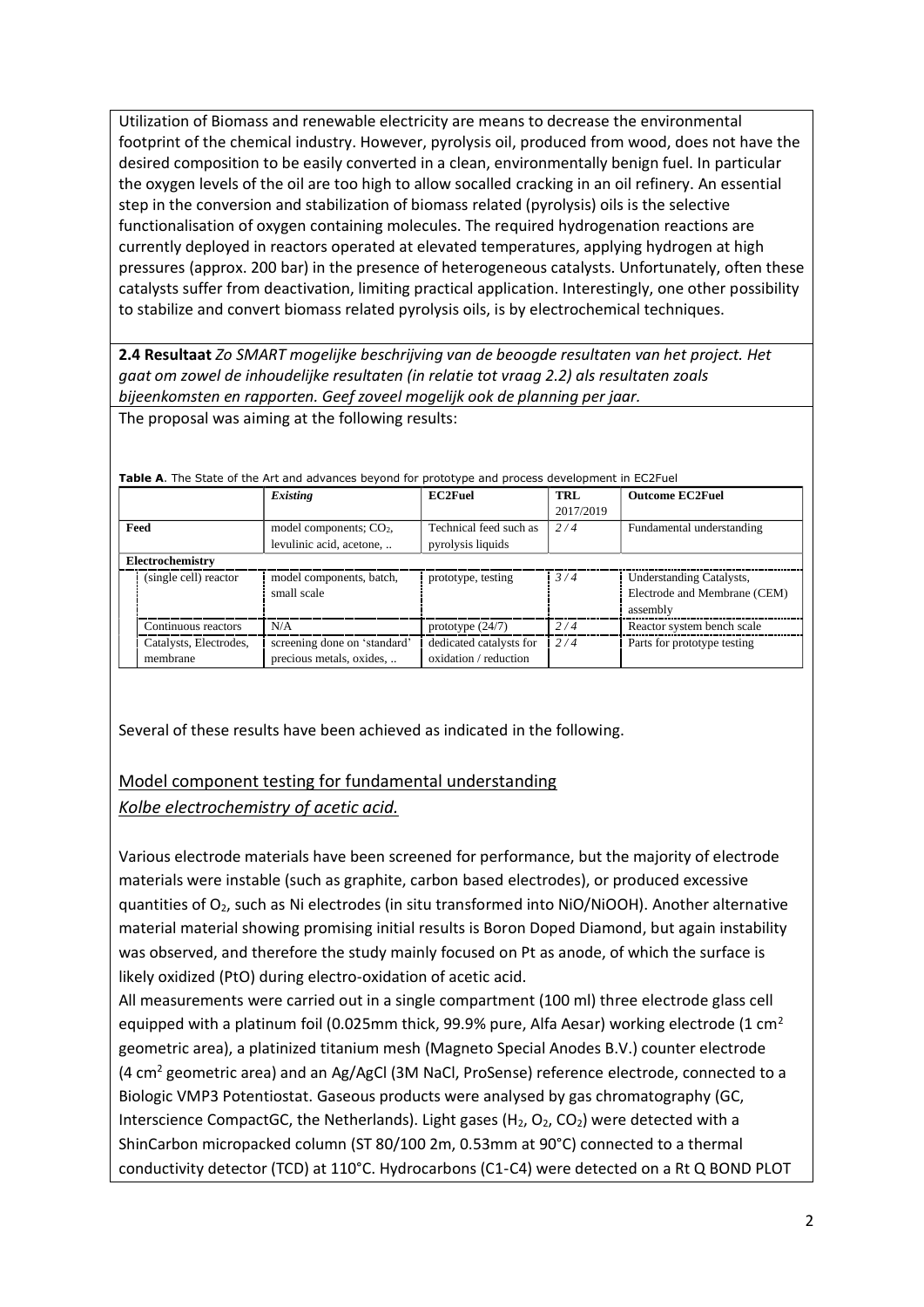Utilization of Biomass and renewable electricity are means to decrease the environmental footprint of the chemical industry. However, pyrolysis oil, produced from wood, does not have the desired composition to be easily converted in a clean, environmentally benign fuel. In particular the oxygen levels of the oil are too high to allow socalled cracking in an oil refinery. An essential step in the conversion and stabilization of biomass related (pyrolysis) oils is the selective functionalisation of oxygen containing molecules. The required hydrogenation reactions are currently deployed in reactors operated at elevated temperatures, applying hydrogen at high pressures (approx. 200 bar) in the presence of heterogeneous catalysts. Unfortunately, often these catalysts suffer from deactivation, limiting practical application. Interestingly, one other possibility to stabilize and convert biomass related pyrolysis oils, is by electrochemical techniques.

**2.4 Resultaat** *Zo SMART mogelijke beschrijving van de beoogde resultaten van het project. Het gaat om zowel de inhoudelijke resultaten (in relatie tot vraag 2.2) als resultaten zoals bijeenkomsten en rapporten. Geef zoveel mogelijk ook de planning per jaar.* The proposal was aiming at the following results:

|                                    | Existing                                                 | <b>EC2Fuel</b>                                   | TRL<br>2017/2019 | <b>Outcome EC2Fuel</b>                                               |
|------------------------------------|----------------------------------------------------------|--------------------------------------------------|------------------|----------------------------------------------------------------------|
| Feed                               | model components; $CO2$ ,<br>levulinic acid, acetone,    | Technical feed such as<br>pyrolysis liquids      | 2/4              | Fundamental understanding                                            |
| Electrochemistry                   |                                                          |                                                  |                  |                                                                      |
| (single cell) reactor              | model components, batch,<br>small scale                  | prototype, testing                               | 3/4              | Understanding Catalysts,<br>Electrode and Membrane (CEM)<br>assembly |
| Continuous reactors                | N/A                                                      | prototype $(24/7)$                               | 2/4              | Reactor system bench scale                                           |
| Catalysts, Electrodes,<br>membrane | screening done on 'standard'<br>precious metals, oxides, | dedicated catalysts for<br>oxidation / reduction | 2/4              | Parts for prototype testing                                          |

**Table A**. The State of the Art and advances beyond for prototype and process development in EC2Fuel

Several of these results have been achieved as indicated in the following.

# Model component testing for fundamental understanding

#### *Kolbe electrochemistry of acetic acid.*

Various electrode materials have been screened for performance, but the majority of electrode materials were instable (such as graphite, carbon based electrodes), or produced excessive quantities of O2, such as Ni electrodes (in situ transformed into NiO/NiOOH). Another alternative material material showing promising initial results is Boron Doped Diamond, but again instability was observed, and therefore the study mainly focused on Pt as anode, of which the surface is likely oxidized (PtO) during electro-oxidation of acetic acid.

All measurements were carried out in a single compartment (100 ml) three electrode glass cell equipped with a platinum foil (0.025mm thick, 99.9% pure, Alfa Aesar) working electrode (1 cm<sup>2</sup> geometric area), a platinized titanium mesh (Magneto Special Anodes B.V.) counter electrode (4  $\text{cm}^2$  geometric area) and an Ag/AgCl (3M NaCl, ProSense) reference electrode, connected to a Biologic VMP3 Potentiostat. Gaseous products were analysed by gas chromatography (GC, Interscience CompactGC, the Netherlands). Light gases ( $H_2$ ,  $O_2$ ,  $CO_2$ ) were detected with a ShinCarbon micropacked column (ST 80/100 2m, 0.53mm at 90°C) connected to a thermal conductivity detector (TCD) at 110°C. Hydrocarbons (C1-C4) were detected on a Rt Q BOND PLOT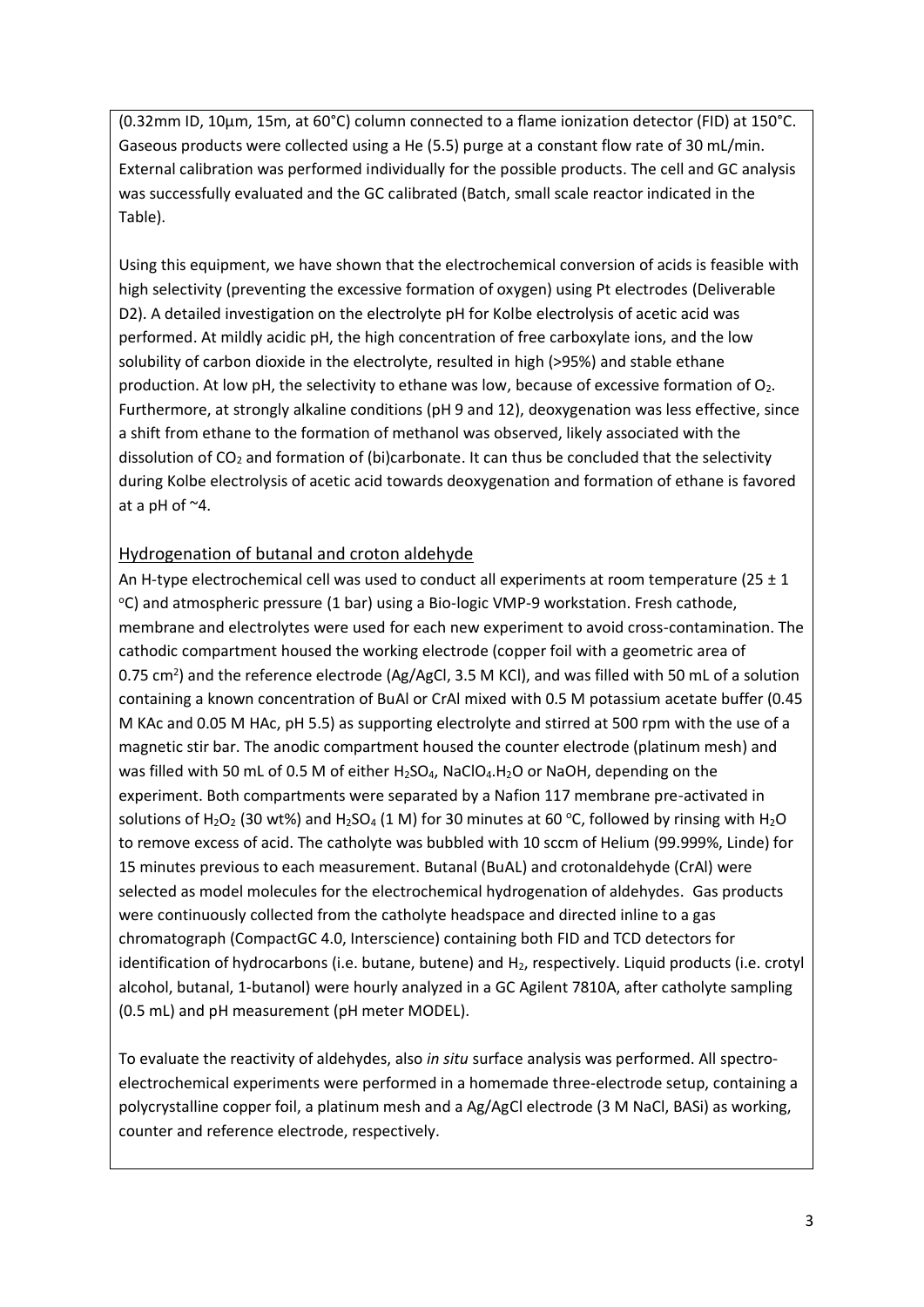(0.32mm ID, 10μm, 15m, at 60°C) column connected to a flame ionization detector (FID) at 150°C. Gaseous products were collected using a He (5.5) purge at a constant flow rate of 30 mL/min. External calibration was performed individually for the possible products. The cell and GC analysis was successfully evaluated and the GC calibrated (Batch, small scale reactor indicated in the Table).

Using this equipment, we have shown that the electrochemical conversion of acids is feasible with high selectivity (preventing the excessive formation of oxygen) using Pt electrodes (Deliverable D2). A detailed investigation on the electrolyte pH for Kolbe electrolysis of acetic acid was performed. At mildly acidic pH, the high concentration of free carboxylate ions, and the low solubility of carbon dioxide in the electrolyte, resulted in high (>95%) and stable ethane production. At low pH, the selectivity to ethane was low, because of excessive formation of  $O_2$ . Furthermore, at strongly alkaline conditions (pH 9 and 12), deoxygenation was less effective, since a shift from ethane to the formation of methanol was observed, likely associated with the dissolution of  $CO<sub>2</sub>$  and formation of (bi)carbonate. It can thus be concluded that the selectivity during Kolbe electrolysis of acetic acid towards deoxygenation and formation of ethane is favored at a pH of ~4.

## Hydrogenation of butanal and croton aldehyde

An H-type electrochemical cell was used to conduct all experiments at room temperature (25  $\pm$  1 <sup>o</sup>C) and atmospheric pressure (1 bar) using a Bio-logic VMP-9 workstation. Fresh cathode, membrane and electrolytes were used for each new experiment to avoid cross-contamination. The cathodic compartment housed the working electrode (copper foil with a geometric area of 0.75 cm<sup>2</sup>) and the reference electrode (Ag/AgCl, 3.5 M KCl), and was filled with 50 mL of a solution containing a known concentration of BuAl or CrAl mixed with 0.5 M potassium acetate buffer (0.45 M KAc and 0.05 M HAc, pH 5.5) as supporting electrolyte and stirred at 500 rpm with the use of a magnetic stir bar. The anodic compartment housed the counter electrode (platinum mesh) and was filled with 50 mL of 0.5 M of either H<sub>2</sub>SO<sub>4</sub>, NaClO<sub>4</sub>.H<sub>2</sub>O or NaOH, depending on the experiment. Both compartments were separated by a Nafion 117 membrane pre-activated in solutions of H<sub>2</sub>O<sub>2</sub> (30 wt%) and H<sub>2</sub>SO<sub>4</sub> (1 M) for 30 minutes at 60 °C, followed by rinsing with H<sub>2</sub>O to remove excess of acid. The catholyte was bubbled with 10 sccm of Helium (99.999%, Linde) for 15 minutes previous to each measurement. Butanal (BuAL) and crotonaldehyde (CrAl) were selected as model molecules for the electrochemical hydrogenation of aldehydes. Gas products were continuously collected from the catholyte headspace and directed inline to a gas chromatograph (CompactGC 4.0, Interscience) containing both FID and TCD detectors for identification of hydrocarbons (i.e. butane, butene) and H<sub>2</sub>, respectively. Liquid products (i.e. crotyl alcohol, butanal, 1-butanol) were hourly analyzed in a GC Agilent 7810A, after catholyte sampling (0.5 mL) and pH measurement (pH meter MODEL).

To evaluate the reactivity of aldehydes, also *in situ* surface analysis was performed. All spectroelectrochemical experiments were performed in a homemade three-electrode setup, containing a polycrystalline copper foil, a platinum mesh and a Ag/AgCl electrode (3 M NaCl, BASi) as working, counter and reference electrode, respectively.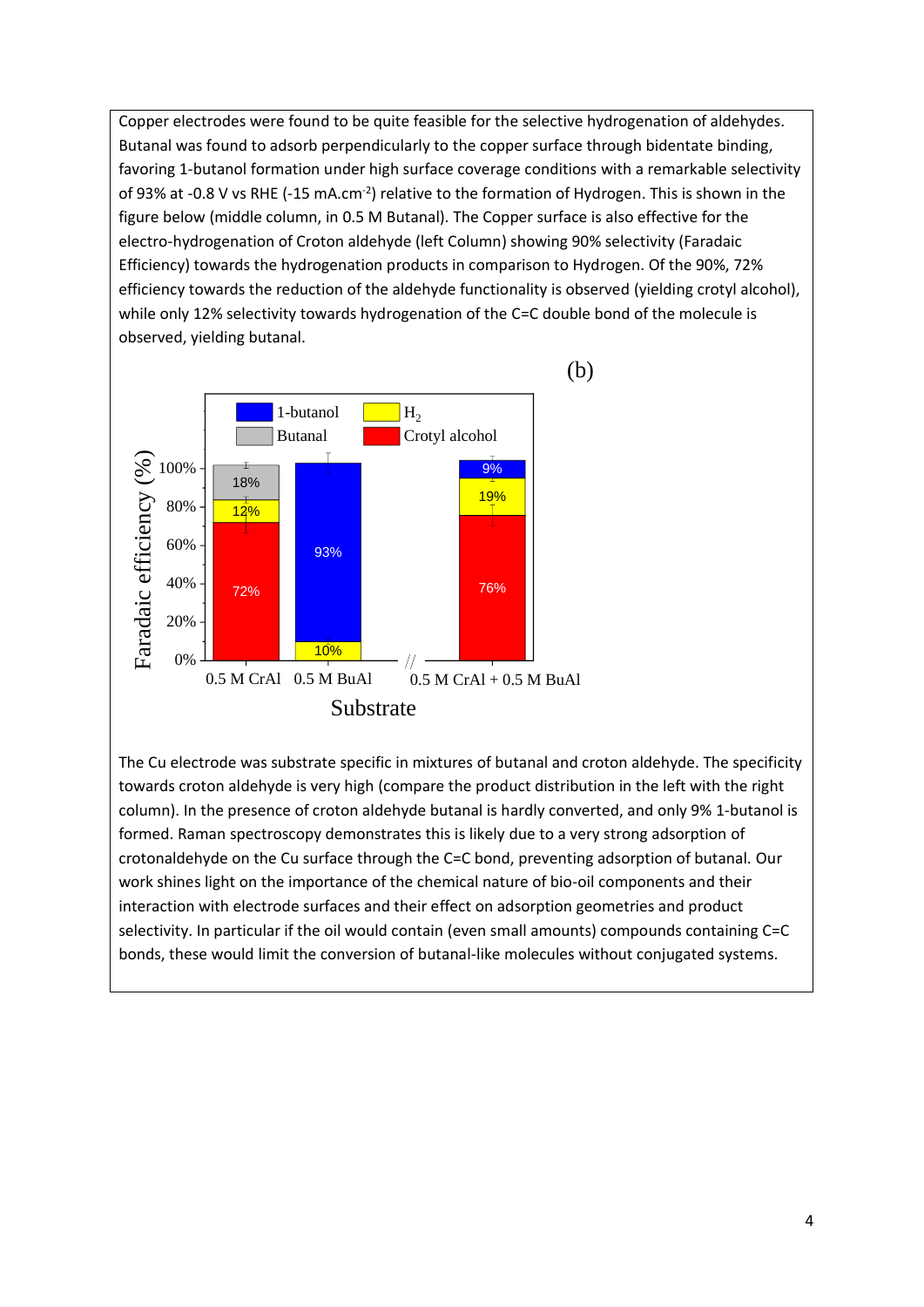Copper electrodes were found to be quite feasible for the selective hydrogenation of aldehydes. Butanal was found to adsorb perpendicularly to the copper surface through bidentate binding, favoring 1-butanol formation under high surface coverage conditions with a remarkable selectivity of 93% at -0.8 V vs RHE (-15 mA.cm<sup>-2</sup>) relative to the formation of Hydrogen. This is shown in the figure below (middle column, in 0.5 M Butanal). The Copper surface is also effective for the electro-hydrogenation of Croton aldehyde (left Column) showing 90% selectivity (Faradaic Efficiency) towards the hydrogenation products in comparison to Hydrogen. Of the 90%, 72% efficiency towards the reduction of the aldehyde functionality is observed (yielding crotyl alcohol), while only 12% selectivity towards hydrogenation of the C=C double bond of the molecule is observed, yielding butanal.



The Cu electrode was substrate specific in mixtures of butanal and croton aldehyde. The specificity towards croton aldehyde is very high (compare the product distribution in the left with the right column). In the presence of croton aldehyde butanal is hardly converted, and only 9% 1-butanol is formed. Raman spectroscopy demonstrates this is likely due to a very strong adsorption of crotonaldehyde on the Cu surface through the C=C bond, preventing adsorption of butanal. Our work shines light on the importance of the chemical nature of bio-oil components and their interaction with electrode surfaces and their effect on adsorption geometries and product selectivity. In particular if the oil would contain (even small amounts) compounds containing C=C bonds, these would limit the conversion of butanal-like molecules without conjugated systems.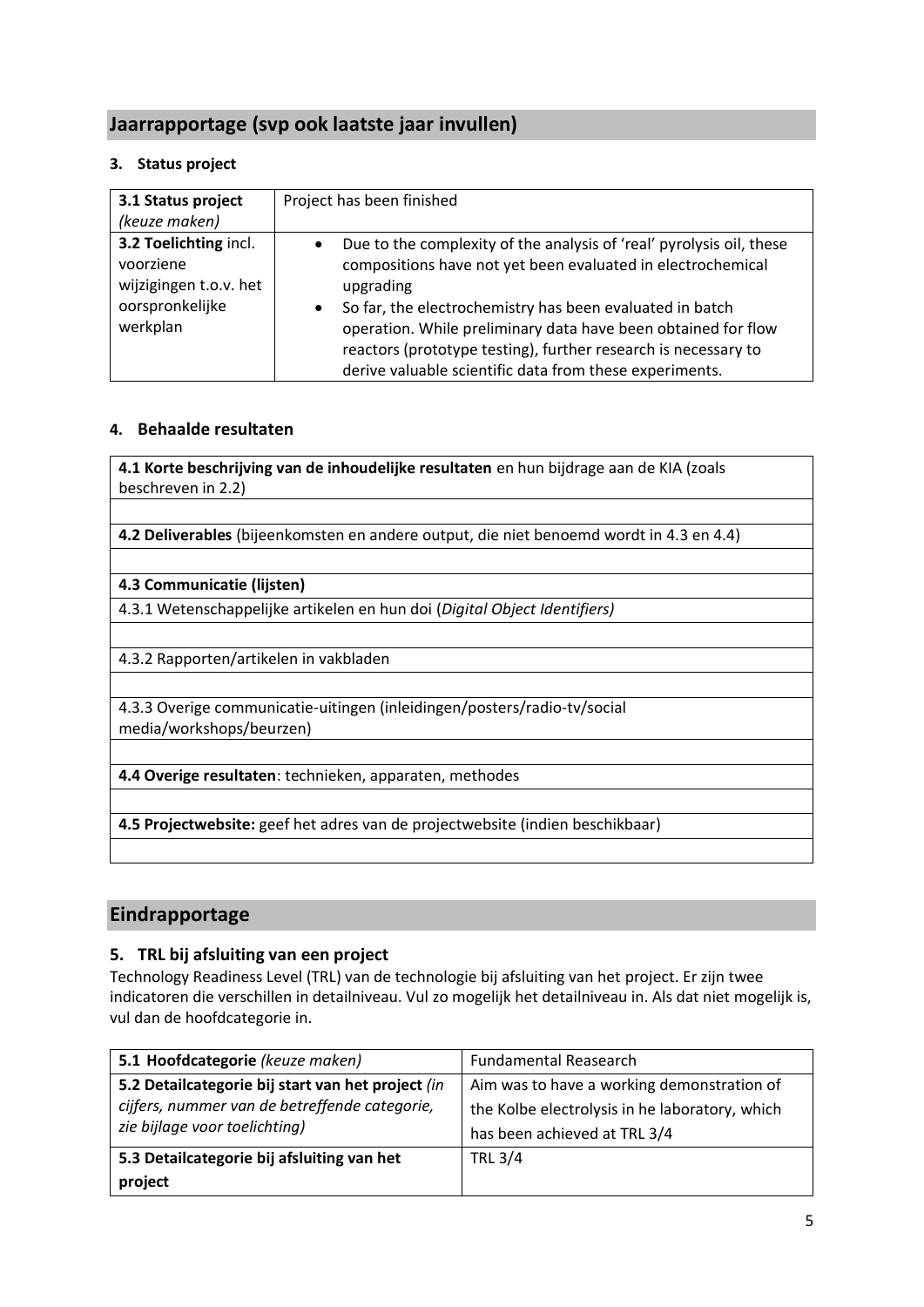# **Jaarrapportage (svp ook laatste jaar invullen)**

#### **3. Status project**

| 3.1 Status project<br>(keuze maken)                                                         | Project has been finished                                                                                                                                                                                                                                                                                                                                                                                                            |
|---------------------------------------------------------------------------------------------|--------------------------------------------------------------------------------------------------------------------------------------------------------------------------------------------------------------------------------------------------------------------------------------------------------------------------------------------------------------------------------------------------------------------------------------|
| 3.2 Toelichting incl.<br>voorziene<br>wijzigingen t.o.v. het<br>oorspronkelijke<br>werkplan | Due to the complexity of the analysis of 'real' pyrolysis oil, these<br>$\bullet$<br>compositions have not yet been evaluated in electrochemical<br>upgrading<br>So far, the electrochemistry has been evaluated in batch<br>$\bullet$<br>operation. While preliminary data have been obtained for flow<br>reactors (prototype testing), further research is necessary to<br>derive valuable scientific data from these experiments. |

### **4. Behaalde resultaten**

**4.1 Korte beschrijving van de inhoudelijke resultaten** en hun bijdrage aan de KIA (zoals beschreven in 2.2)

**4.2 Deliverables** (bijeenkomsten en andere output, die niet benoemd wordt in 4.3 en 4.4)

#### **4.3 Communicatie (lijsten)**

4.3.1 Wetenschappelijke artikelen en hun doi (*Digital Object Identifiers)*

4.3.2 Rapporten/artikelen in vakbladen

4.3.3 Overige communicatie-uitingen (inleidingen/posters/radio-tv/social media/workshops/beurzen)

**4.4 Overige resultaten**: technieken, apparaten, methodes

**4.5 Projectwebsite:** geef het adres van de projectwebsite (indien beschikbaar)

## **Eindrapportage**

#### **5. TRL bij afsluiting van een project**

Technology Readiness Level (TRL) van de technologie bij afsluiting van het project. Er zijn twee indicatoren die verschillen in detailniveau. Vul zo mogelijk het detailniveau in. Als dat niet mogelijk is, vul dan de hoofdcategorie in.

| 5.1 Hoofdcategorie (keuze maken)                  | <b>Fundamental Reasearch</b>                   |  |
|---------------------------------------------------|------------------------------------------------|--|
| 5.2 Detailcategorie bij start van het project (in | Aim was to have a working demonstration of     |  |
| cijfers, nummer van de betreffende categorie,     | the Kolbe electrolysis in he laboratory, which |  |
| zie bijlage voor toelichting)                     | has been achieved at TRL 3/4                   |  |
| 5.3 Detailcategorie bij afsluiting van het        | <b>TRL 3/4</b>                                 |  |
| project                                           |                                                |  |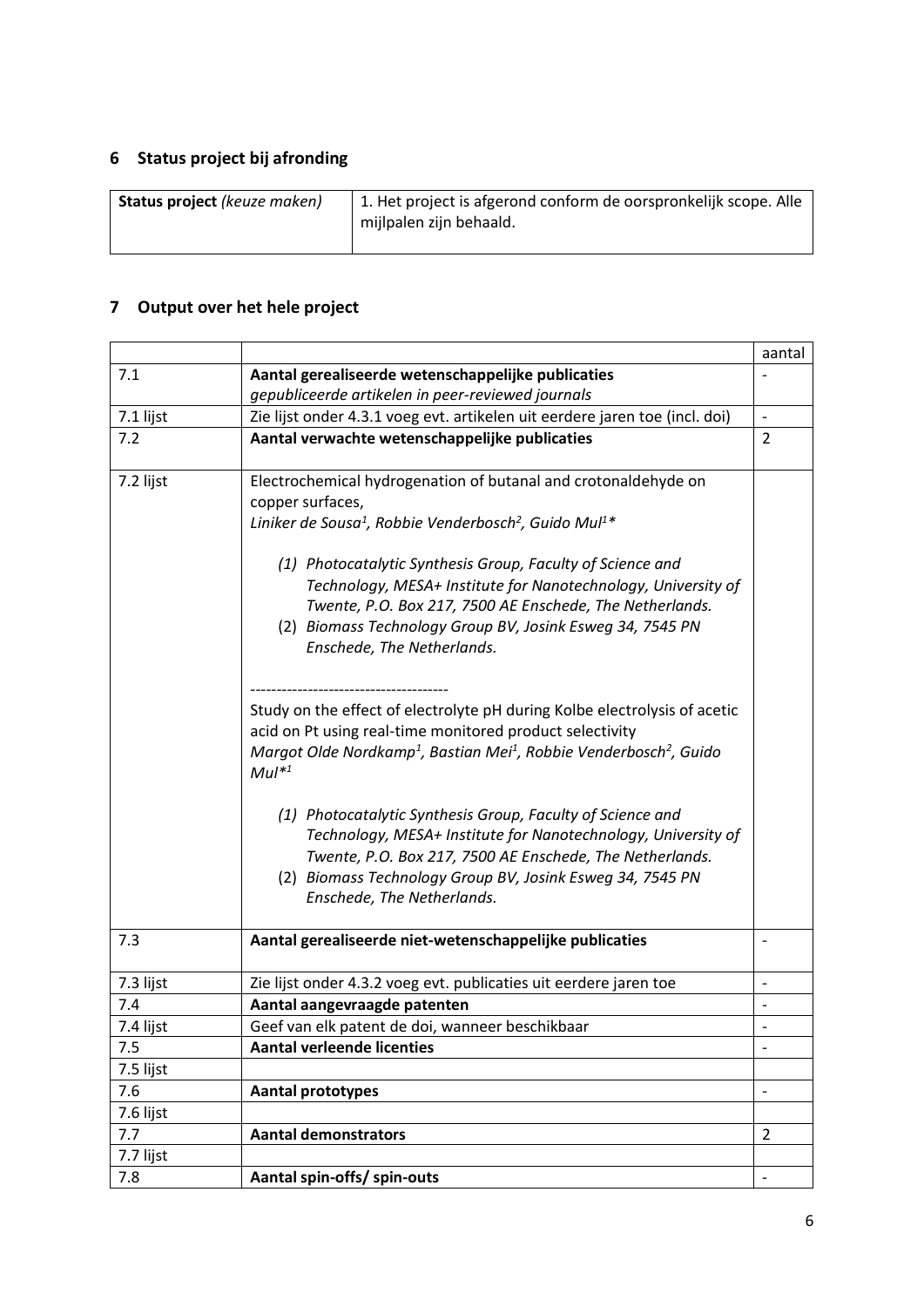# **6 Status project bij afronding**

# **7 Output over het hele project**

|           |                                                                                                                                                                                                                                                                                    | aantal                       |
|-----------|------------------------------------------------------------------------------------------------------------------------------------------------------------------------------------------------------------------------------------------------------------------------------------|------------------------------|
| 7.1       | Aantal gerealiseerde wetenschappelijke publicaties                                                                                                                                                                                                                                 |                              |
|           | gepubliceerde artikelen in peer-reviewed journals                                                                                                                                                                                                                                  |                              |
| 7.1 lijst | Zie lijst onder 4.3.1 voeg evt. artikelen uit eerdere jaren toe (incl. doi)                                                                                                                                                                                                        | $\Box$                       |
| 7.2       | Aantal verwachte wetenschappelijke publicaties                                                                                                                                                                                                                                     | $\overline{2}$               |
|           |                                                                                                                                                                                                                                                                                    |                              |
| 7.2 lijst | Electrochemical hydrogenation of butanal and crotonaldehyde on<br>copper surfaces,                                                                                                                                                                                                 |                              |
|           | Liniker de Sousa <sup>1</sup> , Robbie Venderbosch <sup>2</sup> , Guido Mul <sup>1*</sup>                                                                                                                                                                                          |                              |
|           | (1) Photocatalytic Synthesis Group, Faculty of Science and<br>Technology, MESA+ Institute for Nanotechnology, University of<br>Twente, P.O. Box 217, 7500 AE Enschede, The Netherlands.<br>(2) Biomass Technology Group BV, Josink Esweg 34, 7545 PN<br>Enschede, The Netherlands. |                              |
|           | Study on the effect of electrolyte pH during Kolbe electrolysis of acetic<br>acid on Pt using real-time monitored product selectivity<br>Margot Olde Nordkamp <sup>1</sup> , Bastian Mei <sup>1</sup> , Robbie Venderbosch <sup>2</sup> , Guido<br>$Mul*1$                         |                              |
|           | (1) Photocatalytic Synthesis Group, Faculty of Science and<br>Technology, MESA+ Institute for Nanotechnology, University of<br>Twente, P.O. Box 217, 7500 AE Enschede, The Netherlands.<br>(2) Biomass Technology Group BV, Josink Esweg 34, 7545 PN<br>Enschede, The Netherlands. |                              |
| 7.3       | Aantal gerealiseerde niet-wetenschappelijke publicaties                                                                                                                                                                                                                            |                              |
| 7.3 lijst | Zie lijst onder 4.3.2 voeg evt. publicaties uit eerdere jaren toe                                                                                                                                                                                                                  | $\qquad \qquad \blacksquare$ |
| 7.4       | Aantal aangevraagde patenten                                                                                                                                                                                                                                                       |                              |
| 7.4 lijst | Geef van elk patent de doi, wanneer beschikbaar                                                                                                                                                                                                                                    |                              |
| 7.5       | <b>Aantal verleende licenties</b>                                                                                                                                                                                                                                                  | $\overline{\phantom{a}}$     |
| 7.5 lijst |                                                                                                                                                                                                                                                                                    |                              |
| 7.6       | <b>Aantal prototypes</b>                                                                                                                                                                                                                                                           | $\overline{a}$               |
| 7.6 lijst |                                                                                                                                                                                                                                                                                    |                              |
| 7.7       | <b>Aantal demonstrators</b>                                                                                                                                                                                                                                                        | $\overline{2}$               |
| 7.7 lijst |                                                                                                                                                                                                                                                                                    |                              |
| 7.8       | Aantal spin-offs/ spin-outs                                                                                                                                                                                                                                                        | $\overline{\phantom{a}}$     |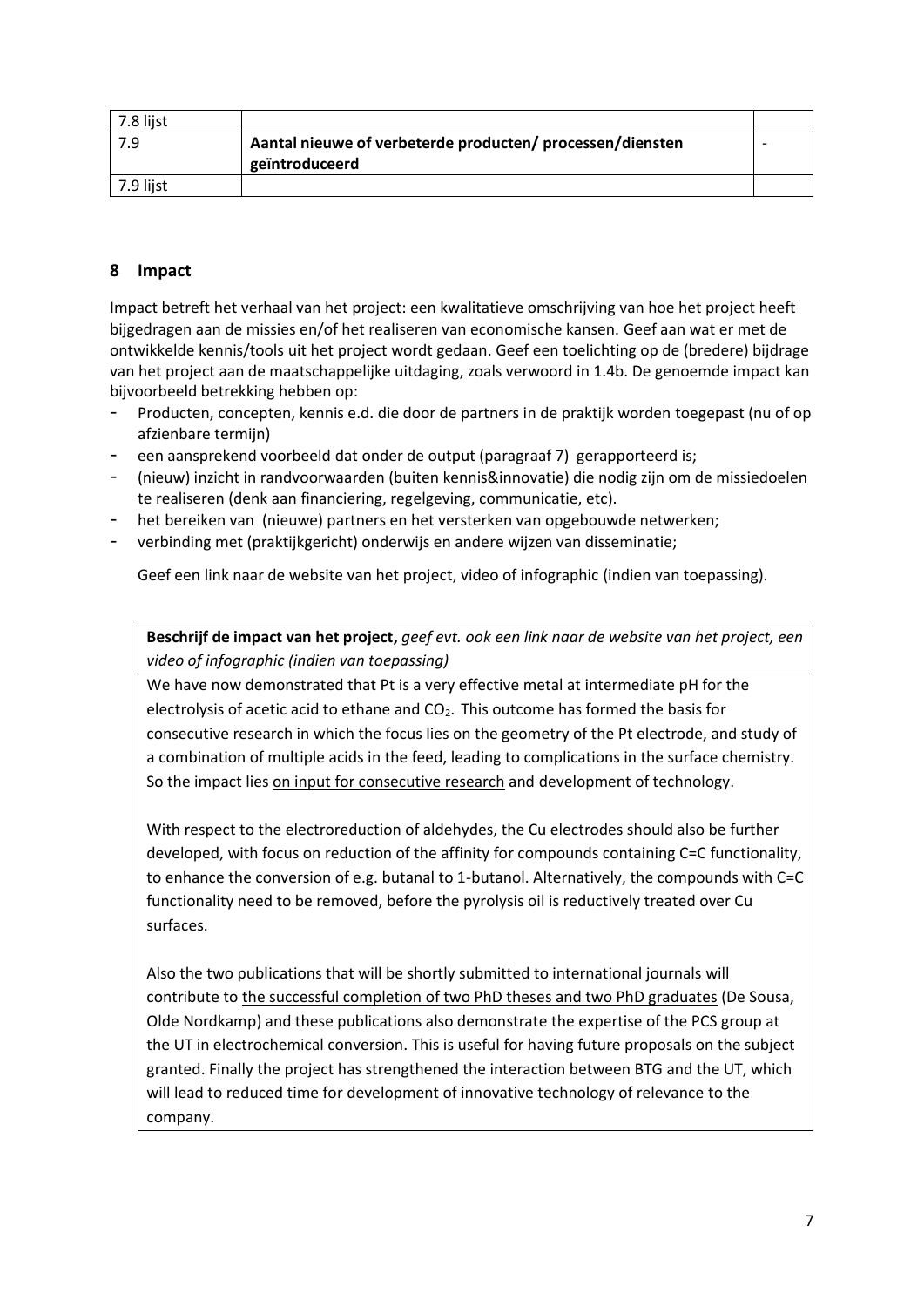| 7.8 lijst |                                                           |  |
|-----------|-----------------------------------------------------------|--|
| 7.9       | Aantal nieuwe of verbeterde producten/ processen/diensten |  |
|           | geïntroduceerd                                            |  |
| 7.9 lijst |                                                           |  |

## **8 Impact**

Impact betreft het verhaal van het project: een kwalitatieve omschrijving van hoe het project heeft bijgedragen aan de missies en/of het realiseren van economische kansen. Geef aan wat er met de ontwikkelde kennis/tools uit het project wordt gedaan. Geef een toelichting op de (bredere) bijdrage van het project aan de maatschappelijke uitdaging, zoals verwoord in 1.4b. De genoemde impact kan bijvoorbeeld betrekking hebben op:

- Producten, concepten, kennis e.d. die door de partners in de praktijk worden toegepast (nu of op afzienbare termijn)
- een aansprekend voorbeeld dat onder de output (paragraaf 7) gerapporteerd is;
- (nieuw) inzicht in randvoorwaarden (buiten kennis&innovatie) die nodig zijn om de missiedoelen te realiseren (denk aan financiering, regelgeving, communicatie, etc).
- het bereiken van (nieuwe) partners en het versterken van opgebouwde netwerken;
- verbinding met (praktijkgericht) onderwijs en andere wijzen van disseminatie;

Geef een link naar de website van het project, video of infographic (indien van toepassing).

**Beschrijf de impact van het project,** *geef evt. ook een link naar de website van het project, een video of infographic (indien van toepassing)*

We have now demonstrated that Pt is a very effective metal at intermediate pH for the electrolysis of acetic acid to ethane and CO<sub>2</sub>. This outcome has formed the basis for consecutive research in which the focus lies on the geometry of the Pt electrode, and study of a combination of multiple acids in the feed, leading to complications in the surface chemistry. So the impact lies on input for consecutive research and development of technology.

With respect to the electroreduction of aldehydes, the Cu electrodes should also be further developed, with focus on reduction of the affinity for compounds containing C=C functionality, to enhance the conversion of e.g. butanal to 1-butanol. Alternatively, the compounds with C=C functionality need to be removed, before the pyrolysis oil is reductively treated over Cu surfaces.

Also the two publications that will be shortly submitted to international journals will contribute to the successful completion of two PhD theses and two PhD graduates (De Sousa, Olde Nordkamp) and these publications also demonstrate the expertise of the PCS group at the UT in electrochemical conversion. This is useful for having future proposals on the subject granted. Finally the project has strengthened the interaction between BTG and the UT, which will lead to reduced time for development of innovative technology of relevance to the company.